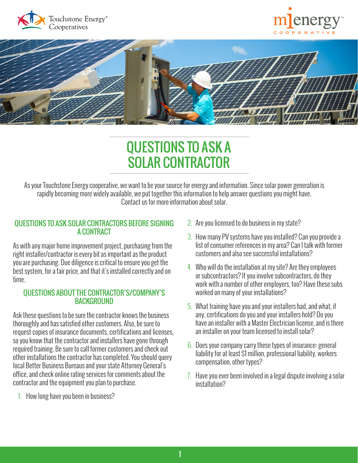





# QUESTIONS TO ASK A SOLAR CONTRACTOR

As your Touchstone Energy cooperative, we want to be your source for energy and information. Since solar power generation is rapidly becoming more widely available, we put together this information to help answer questions you might have. Contact us for more information about solar.

### QUESTIONS TO ASK SOLAR CONTRACTORS BEFORE SIGNING A CONTRACT

As with any major home improvement project, purchasing from the right installer/contractor is every bit as important as the product you are purchasing. Due diligence is critical to ensure you get the best system, for a fair price, and that it's installed correctly and on time.

#### QUESTIONS ABOUT THE CONTRACTOR'S/COMPANY'S **BACKGROUND**

Ask these questions to be sure the contractor knows the business thoroughly and has satisfied other customers. Also, be sure to request copies of insurance documents, certifications and licenses, so you know that the contractor and installers have gone through required training. Be sure to call former customers and check out other installations the contractor has completed. You should query local Better Business Bureaus and your state Attorney General's office, and check online rating services for comments about the contractor and the equipment you plan to purchase.

1. How long have you been in business?

- 2. Are you licensed to do business in my state?
- 3. How many PV systems have you installed? Can you provide a list of consumer references in my area? Can I talk with former customers and also see successful installations?
- 4. Who will do the installation at my site? Are they employees or subcontractors? If you involve subcontractors, do they work with a number of other employers, too? Have these subs worked on many of your installations?
- 5. What training have you and your installers had, and what, if any, certifications do you and your installers hold? Do you have an installer with a Master Electrician license, and is there an installer on your team licensed to install solar?
- 6. Does your company carry these types of insurance: general liability for at least \$1 million, professional liability, workers compensation, other types?
- 7. Have you ever been involved in a legal dispute involving a solar installation?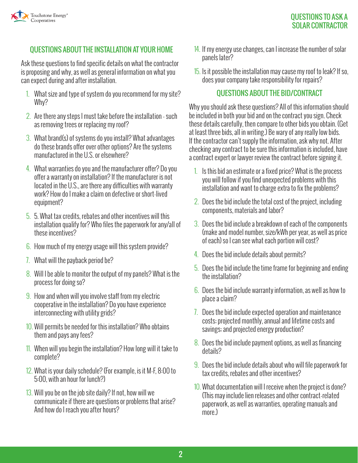

# QUESTIONS ABOUT THE INSTALLATION AT YOUR HOME

Ask these questions to find specific details on what the contractor is proposing and why, as well as general information on what you can expect during and after installation.

- 1. What size and type of system do you recommend for my site? Why?
- 2. Are there any steps I must take before the installation such as removing trees or replacing my roof?
- 3. What brand(s) of systems do you install? What advantages do these brands offer over other options? Are the systems manufactured in the U.S. or elsewhere?
- 4. What warranties do you and the manufacturer offer? Do you offer a warranty on installation? If the manufacturer is not located in the U.S., are there any difficulties with warranty work? How do I make a claim on defective or short-lived equipment?
- 5. 5. What tax credits, rebates and other incentives will this installation qualify for? Who files the paperwork for any/all of these incentives?
- 6. How much of my energy usage will this system provide?
- 7. What will the payback period be?
- 8. Will I be able to monitor the output of my panels? What is the process for doing so?
- 9. How and when will you involve staff from my electric cooperative in the installation? Do you have experience interconnecting with utility grids?
- 10. Will permits be needed for this installation? Who obtains them and pays any fees?
- 11. When will you begin the installation? How long will it take to complete?
- 12. What is your daily schedule? (For example, is it M-F, 8:00 to 5:00, with an hour for lunch?)
- 13. Will you be on the job site daily? If not, how will we communicate if there are questions or problems that arise? And how do I reach you after hours?
- 14. If my energy use changes, can I increase the number of solar panels later?
- 15. Is it possible the installation may cause my roof to leak? If so, does your company take responsibility for repairs?

#### QUESTIONS ABOUT THE BID/CONTRACT

Why you should ask these questions? All of this information should be included in both your bid and on the contract you sign. Check these details carefully, then compare to other bids you obtain. (Get at least three bids, all in writing.) Be wary of any really low bids. If the contractor can't supply the information, ask why not. After checking any contract to be sure this information is included, have a contract expert or lawyer review the contract before signing it.

- 1. Is this bid an estimate or a fixed price? What is the process you will follow if you find unexpected problems with this installation and want to charge extra to fix the problems?
- 2. Does the bid include the total cost of the project, including components, materials and labor?
- 3. Does the bid include a breakdown of each of the components (make and model number, size/kWh per year, as well as price of each) so I can see what each portion will cost?
- 4. Does the bid include details about permits?
- 5. Does the bid include the time frame for beginning and ending the installation?
- 6. Does the bid include warranty information, as well as how to place a claim?
- 7. Does the bid include expected operation and maintenance costs; projected monthly, annual and lifetime costs and savings; and projected energy production?
- 8. Does the bid include payment options, as well as financing details?
- 9. Does the bid include details about who will file paperwork for tax credits, rebates and other incentives?
- 10. What documentation will I receive when the project is done? (This may include lien releases and other contract-related paperwork, as well as warranties, operating manuals and more.)